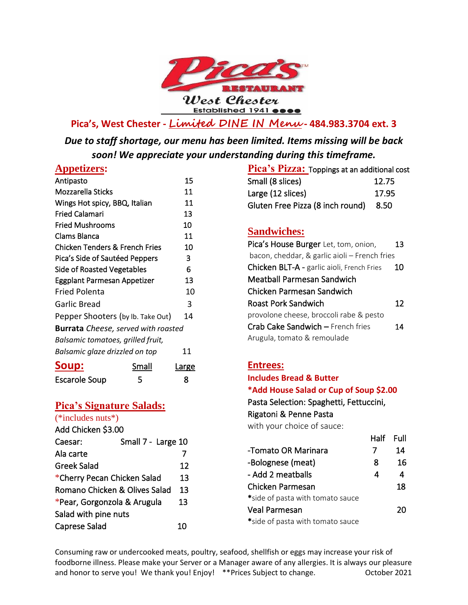

**Pica's, West Chester - Limited DINE IN Menu - 484.983.3704 ext. 3**

*Due to staff shortage, our menu has been limited. Items missing will be back soon! We appreciate your understanding during this timeframe.* 

#### **Appetizers:**

| Antipasto                                  |       | 15    |
|--------------------------------------------|-------|-------|
| Mozzarella Sticks                          |       | 11    |
| Wings Hot spicy, BBQ, Italian              |       | 11    |
| <b>Fried Calamari</b>                      |       | 13    |
| <b>Fried Mushrooms</b>                     |       | 10    |
| Clams Blanca                               |       | 11    |
| Chicken Tenders & French Fries             |       | 10    |
| Pica's Side of Sautéed Peppers             |       | 3     |
| Side of Roasted Vegetables                 |       | 6     |
| Eggplant Parmesan Appetizer                |       | 13    |
| <b>Fried Polenta</b>                       |       | 10    |
| Garlic Bread                               |       | 3     |
| Pepper Shooters (by Ib. Take Out)          |       | 14    |
| <b>Burrata</b> Cheese, served with roasted |       |       |
| Balsamic tomatoes, grilled fruit,          |       |       |
| Balsamic glaze drizzled on top             |       | 11    |
| <u>soup:</u>                               | Small | Large |
| <b>Escarole Soup</b>                       | 5     | 8     |

### **Pica's Signature Salads:**

| (*includes nuts*)                        |                    |    |
|------------------------------------------|--------------------|----|
| Add Chicken \$3.00                       |                    |    |
| Caesar:                                  | Small 7 - Large 10 |    |
| Ala carte                                |                    |    |
| Greek Salad                              |                    | 12 |
| *Cherry Pecan Chicken Salad              |                    | 13 |
| <b>Romano Chicken &amp; Olives Salad</b> |                    | 13 |
| *Pear, Gorgonzola & Arugula              |                    | 13 |
| Salad with pine nuts                     |                    |    |
| <b>Caprese Salad</b>                     |                    | 10 |
|                                          |                    |    |

| Pica's Pizza: Toppings at an additional cost |        |  |
|----------------------------------------------|--------|--|
| Small (8 slices)                             | 12.75  |  |
| Large (12 slices)                            | 17.95  |  |
| Gluten Free Pizza (8 inch round)             | - 8.50 |  |

## **Sandwiches:**

| Pica's House Burger Let, tom, onion,          | 13 |
|-----------------------------------------------|----|
| bacon, cheddar, & garlic aioli – French fries |    |
| Chicken BLT-A - garlic aioli, French Fries    | 10 |
| Meatball Parmesan Sandwich                    |    |
| Chicken Parmesan Sandwich                     |    |
| Roast Pork Sandwich                           | 12 |
| provolone cheese, broccoli rabe & pesto       |    |
| Crab Cake Sandwich - French fries             | 14 |
| Arugula, tomato & remoulade                   |    |

### **Entrees:**

**Includes Bread & Butter \*Add House Salad or Cup of Soup \$2.00**  Pasta Selection: Spaghetti, Fettuccini,

Rigatoni & Penne Pasta

with your choice of sauce:

|                                  | нан | гин |
|----------------------------------|-----|-----|
| -Tomato OR Marinara              |     | 14  |
| -Bolognese (meat)                | 8   | 16  |
| - Add 2 meatballs                | 4   | 4   |
| Chicken Parmesan                 |     | 18  |
| *side of pasta with tomato sauce |     |     |
| <b>Veal Parmesan</b>             |     | 20  |
| *side of pasta with tomato sauce |     |     |

Half Full

Consuming raw or undercooked meats, poultry, seafood, shellfish or eggs may increase your risk of foodborne illness. Please make your Server or a Manager aware of any allergies. It is always our pleasure and honor to serve you! We thank you! Enjoy! \*\*Prices Subject to change. 0ctober 2021